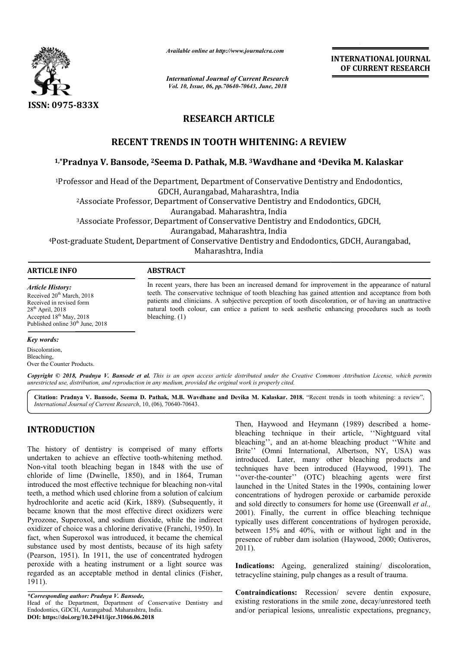

*Available online at http://www.journalcra.com*

*International Journal of Current Research Vol. 10, Issue, 06, pp.70640-70643, June, 2018*

**INTERNATIONAL JOURNAL OF CURRENT RESEARCH**

# **RESEARCH ARTICLE**

# **RECENT TRENDS IN TOOTH WHITENING: A REVIEW**

# RECENT TRENDS IN TOOTH WHITENING: A REVIEW<br><sup>1,</sup>\*Pradnya V. Bansode, <sup>2</sup>Seema D. Pathak, M.B. <sup>3</sup>Wavdhane and <sup>4</sup>Devika M. Kalaskar

1Professor and Head of the Department Department, Department of Conservative Dentistry and Endodontics, GDCH, Aurangabad Aurangabad, Maharashtra, India 2Associate Professor, Department of Conservative Dentistry and Endodontics Endodontics, GDCH, 3Associate Professor, Department of Conservative Dentistry and Endodontics Endodontics, GDCH, <sup>4</sup>Post-graduate Student, Department of Conservative Dentistry and Endodontics, GDCH, Aurangabad, Aurangabad. Maharashtra, India Aurangabad, Maharashtra, India Maharashtra, India

## **ARTICLE INFO ABSTRACT**

*Article History:* Received  $20<sup>th</sup> March, 2018$ Received in revised form  $28<sup>th</sup>$  April,  $2018$ Accepted 18<sup>th</sup> May, 2018 Published online 30<sup>th</sup> June, 2018

In recent years, there has been an increased demand for improvement in the appearance of natural teeth. The conservative technique of tooth bleaching has gained attention and acceptance from both patients and clinicians. A subjective perception of tooth di discoloration, or of having an unattractive natural tooth colour, can entice a patient to seek aesthetic enhancing procedures such as tooth bleaching. (1) In recent years, there has been an increased demand for improvement in the appearance of natural teeth. The conservative technique of tooth bleaching has gained attention and acceptance from both patients and clinicians. A

#### *Key words:*

Discoloration, Bleaching, Over the Counter Products.

Copyright © 2018, Pradnya V. Bansode et al. This is an open access article distributed under the Creative Commons Attribution License, which permits *unrestricted use, distribution, and reproduction in any medium, provided the original work is properly cited.*

Citation: Pradnya V. Bansode, Seema D. Pathak, M.B. Wavdhane and Devika M. Kalaskar. 2018. "Recent trends in tooth whitening: a review", *International Journal of Current Research*, 10, (06), 70640 70640-70643.

# **INTRODUCTION**

The history of dentistry is comprised of many efforts undertaken to achieve an effective tooth-whitening method. Non-vital tooth bleaching began in 1848 with the use of chloride of lime (Dwinelle, 1850), and in 1864, Truman introduced the most effective technique for bleaching non-vital teeth, a method which used chlorine from a solution of calcium hydrochlorite and acetic acid (Kirk, 1889). (Subsequently, it became known that the most effective direct oxidizers were Pyrozone, Superoxol, and sodium dioxide, while the indirect oxidizer of choice was a chlorine derivative (Franchi, 1950). In fact, when Superoxol was introduced, it became the chemical substance used by most dentists, because of its high safety (Pearson, 1951). In 1911, the use of concentrated hydrogen peroxide with a heating instrument or a light source was regarded as an acceptable method in dental clinics (Fisher, 1911). rtaken to achieve an effective tooth-whitening method.<br>vital tooth bleaching began in 1848 with the use of<br>ide of lime (Dwinelle, 1850), and in 1864, Truman<br>duced the most effective technique for bleaching non-vital

*\*Corresponding author: Pradnya V. Bansode,*  Head of the Department, Department of Conservative Dentistry and Endodontics, GDCH, Aurangabad. Maharashtra, India. **DOI: https://doi.org/10.24941/ijcr.31066.06.2018**

Then, Haywood and Heymann (1989) described a home<br>bleaching technique in their article, "Nightguard vita<br>bleaching", and an at-home bleaching product "White an<br>effective tooth-whitening method.<br>Introduced. Later, many othe bleaching technique in their article, "Nightguard vital bleaching", and an at-home bleaching product "White and Brite'' (Omni International, Albertson, NY, USA) was introduced. Later, many other bleaching products and techniques have been introduced (Haywood, 1991). The ''over-the-counter'' (OTC) bleaching agents were first launched in the United States in the 1990s, containing lower concentrations of hydrogen peroxide or carbamide peroxide and sold directly to consumers for home use (Greenwall et al., 2001). Finally, the current in office bleaching technique typically uses different concentrations of hydrogen peroxide, between 15% and 40%, with or without light and in the presence of rubber dam isolation (Haywood, 2000; Ontiveros, 2011). Then, Haywood and Heymann (1989) described a home-Brite'' (Omni International, Albertson, NY, USA) was introduced. Later, many other bleaching products and techniques have been introduced (Haywood, 1991). The "over-the-counter" (OTC) bleaching agents were first launched i typically uses different concentrations of hydrogen peroxide,<br>between 15% and 40%, with or without light and in the<br>presence of rubber dam isolation (Haywood, 2000; Ontiveros,<br>2011).<br>**Indications:** Ageing, generalized stai **INTERNATIONAL JOURNAL OF CURRENT RESEARCH (IT AND ALL ASSEMPT)**<br> **A 4 Devika M. Kalaskar**<br> **Constantly and Endodontics,**<br>
Endodontics, GDCH,<br>
Endodontics, GDCH,<br>
Endodontics, GDCH,<br>
And dontics, GDCH, Aurangabad,<br>
improve

Indications: Ageing, generalized staining/ discoloration, tetracycline staining, pulp changes as a result of trauma.

**Contraindications:** Recession/ severe dentin exposure, existing restorations in the smile zone, decay/unrestored teeth and/or periapical lesions, unrealistic expectations, pregnancy,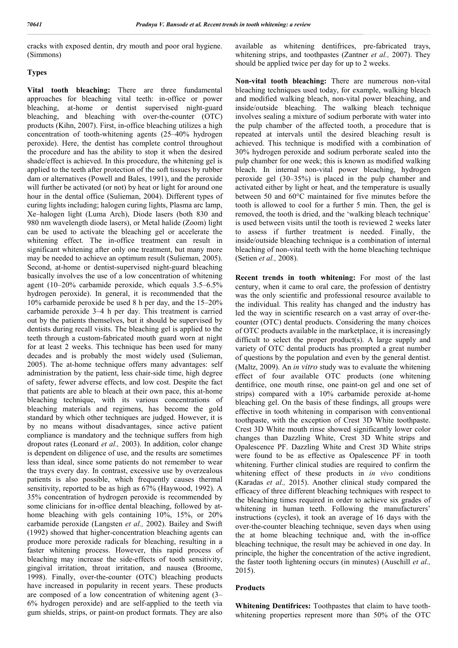cracks with exposed dentin, dry mouth and poor oral hygiene. (Simmons)

# **Types**

**Vital tooth bleaching:** There are three fundamental approaches for bleaching vital teeth: in-office or power bleaching, at-home or dentist supervised night-guard bleaching, and bleaching with over-the-counter (OTC) products (Kihn, 2007). First, in-office bleaching utilizes a high concentration of tooth-whitening agents (25–40% hydrogen peroxide). Here, the dentist has complete control throughout the procedure and has the ability to stop it when the desired shade/effect is achieved. In this procedure, the whitening gel is applied to the teeth after protection of the soft tissues by rubber dam or alternatives (Powell and Bales, 1991), and the peroxide will further be activated (or not) by heat or light for around one hour in the dental office (Sulieman, 2004). Different types of curing lights including; halogen curing lights, Plasma arc lamp, Xe–halogen light (Luma Arch), Diode lasers (both 830 and 980 nm wavelength diode lasers), or Metal halide (Zoom) light can be used to activate the bleaching gel or accelerate the whitening effect. The in-office treatment can result in significant whitening after only one treatment, but many more may be needed to achieve an optimum result (Sulieman, 2005). Second, at-home or dentist-supervised night-guard bleaching basically involves the use of a low concentration of whitening agent (10–20% carbamide peroxide, which equals 3.5–6.5% hydrogen peroxide). In general, it is recommended that the 10% carbamide peroxide be used 8 h per day, and the 15–20% carbamide peroxide 3–4 h per day. This treatment is carried out by the patients themselves, but it should be supervised by dentists during recall visits. The bleaching gel is applied to the teeth through a custom-fabricated mouth guard worn at night for at least 2 weeks. This technique has been used for many decades and is probably the most widely used (Sulieman, 2005). The at-home technique offers many advantages: self administration by the patient, less chair-side time, high degree of safety, fewer adverse effects, and low cost. Despite the fact that patients are able to bleach at their own pace, this at-home bleaching technique, with its various concentrations of bleaching materials and regimens, has become the gold standard by which other techniques are judged. However, it is by no means without disadvantages, since active patient compliance is mandatory and the technique suffers from high dropout rates (Leonard *et al.,* 2003). In addition, color change is dependent on diligence of use, and the results are sometimes less than ideal, since some patients do not remember to wear the trays every day. In contrast, excessive use by overzealous patients is also possible, which frequently causes thermal sensitivity, reported to be as high as 67% (Haywood, 1992). A 35% concentration of hydrogen peroxide is recommended by some clinicians for in-office dental bleaching, followed by athome bleaching with gels containing 10%, 15%, or 20% carbamide peroxide (Langsten *et al.,* 2002). Bailey and Swift (1992) showed that higher-concentration bleaching agents can produce more peroxide radicals for bleaching, resulting in a faster whitening process. However, this rapid process of bleaching may increase the side-effects of tooth sensitivity, gingival irritation, throat irritation, and nausea (Broome, 1998). Finally, over-the-counter (OTC) bleaching products have increased in popularity in recent years. These products are composed of a low concentration of whitening agent (3– 6% hydrogen peroxide) and are self-applied to the teeth via gum shields, strips, or paint-on product formats. They are also available as whitening dentifrices, pre-fabricated trays, whitening strips, and toothpastes (Zantner *et al.,* 2007). They should be applied twice per day for up to 2 weeks.

**Non-vital tooth bleaching:** There are numerous non-vital bleaching techniques used today, for example, walking bleach and modified walking bleach, non-vital power bleaching, and inside/outside bleaching. The walking bleach technique involves sealing a mixture of sodium perborate with water into the pulp chamber of the affected tooth, a procedure that is repeated at intervals until the desired bleaching result is achieved. This technique is modified with a combination of 30% hydrogen peroxide and sodium perborate sealed into the pulp chamber for one week; this is known as modified walking bleach. In internal non-vital power bleaching, hydrogen peroxide gel (30–35%) is placed in the pulp chamber and activated either by light or heat, and the temperature is usually between 50 and 60°C maintained for five minutes before the tooth is allowed to cool for a further 5 min. Then, the gel is removed, the tooth is dried, and the 'walking bleach technique' is used between visits until the tooth is reviewed 2 weeks later to assess if further treatment is needed. Finally, the inside/outside bleaching technique is a combination of internal bleaching of non-vital teeth with the home bleaching technique (Setien *et al.,* 2008).

**Recent trends in tooth whitening:** For most of the last century, when it came to oral care, the profession of dentistry was the only scientific and professional resource available to the individual. This reality has changed and the industry has led the way in scientific research on a vast array of over-thecounter (OTC) dental products. Considering the many choices of OTC products available in the marketplace, it is increasingly difficult to select the proper product(s). A large supply and variety of OTC dental products has prompted a great number of questions by the population and even by the general dentist. (Maltz, 2009). An *in vitro* study was to evaluate the whitening effect of four available OTC products (one whitening dentifrice, one mouth rinse, one paint-on gel and one set of strips) compared with a 10% carbamide peroxide at-home bleaching gel. On the basis of these findings, all groups were effective in tooth whitening in comparison with conventional toothpaste, with the exception of Crest 3D White toothpaste. Crest 3D White mouth rinse showed significantly lower color changes than Dazzling White, Crest 3D White strips and Opalescence PF. Dazzling White and Crest 3D White strips were found to be as effective as Opalescence PF in tooth whitening. Further clinical studies are required to confirm the whitening effect of these products in *in vivo* conditions (Karadas *et al.,* 2015). Another clinical study compared the efficacy of three different bleaching techniques with respect to the bleaching times required in order to achieve six grades of whitening in human teeth. Following the manufacturers' instructions (cycles), it took an average of 16 days with the over-the-counter bleaching technique, seven days when using the at home bleaching technique and, with the in-office bleaching technique, the result may be achieved in one day. In principle, the higher the concentration of the active ingredient, the faster tooth lightening occurs (in minutes) (Auschill *et al.,*  2015).

# **Products**

**Whitening Dentifrices:** Toothpastes that claim to have toothwhitening properties represent more than 50% of the OTC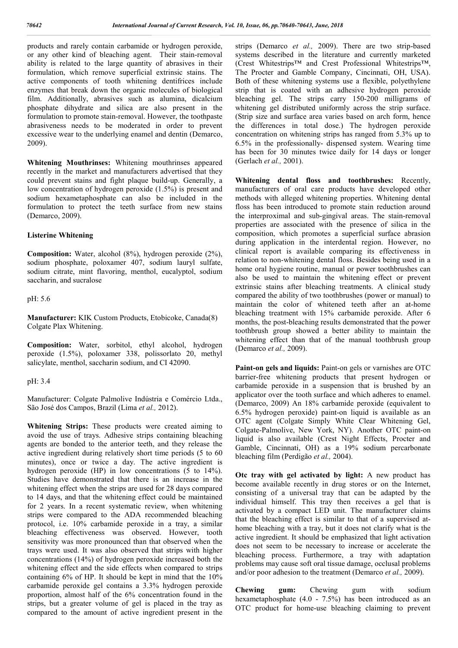products and rarely contain carbamide or hydrogen peroxide, or any other kind of bleaching agent. Their stain-removal ability is related to the large quantity of abrasives in their formulation, which remove superficial extrinsic stains. The active components of tooth whitening dentifrices include enzymes that break down the organic molecules of biological film. Additionally, abrasives such as alumina, dicalcium phosphate dihydrate and silica are also present in the formulation to promote stain-removal. However, the toothpaste abrasiveness needs to be moderated in order to prevent excessive wear to the underlying enamel and dentin (Demarco, 2009).

**Whitening Mouthrinses:** Whitening mouthrinses appeared recently in the market and manufacturers advertised that they could prevent stains and fight plaque build-up. Generally, a low concentration of hydrogen peroxide (1.5%) is present and sodium hexametaphosphate can also be included in the formulation to protect the teeth surface from new stains (Demarco, 2009).

## **Listerine Whitening**

**Composition:** Water, alcohol (8%), hydrogen peroxide (2%), sodium phosphate, poloxamer 407, sodium lauryl sulfate, sodium citrate, mint flavoring, menthol, eucalyptol, sodium saccharin, and sucralose

pH: 5.6

**Manufacturer:** KIK Custom Products, Etobicoke, Canada(8) Colgate Plax Whitening.

**Composition:** Water, sorbitol, ethyl alcohol, hydrogen peroxide (1.5%), poloxamer 338, polissorlato 20, methyl salicylate, menthol, saccharin sodium, and CI 42090.

### pH: 3.4

Manufacturer: Colgate Palmolive Indústria e Comércio Ltda., São José dos Campos, Brazil (Lima *et al.,* 2012).

**Whitening Strips:** These products were created aiming to avoid the use of trays. Adhesive strips containing bleaching agents are bonded to the anterior teeth, and they release the active ingredient during relatively short time periods (5 to 60 minutes), once or twice a day. The active ingredient is hydrogen peroxide (HP) in low concentrations (5 to 14%). Studies have demonstrated that there is an increase in the whitening effect when the strips are used for 28 days compared to 14 days, and that the whitening effect could be maintained for 2 years. In a recent systematic review, when whitening strips were compared to the ADA recommended bleaching protocol, i.e. 10% carbamide peroxide in a tray, a similar bleaching effectiveness was observed. However, tooth sensitivity was more pronounced than that observed when the trays were used. It was also observed that strips with higher concentrations (14%) of hydrogen peroxide increased both the whitening effect and the side effects when compared to strips containing 6% of HP. It should be kept in mind that the 10% carbamide peroxide gel contains a 3.3% hydrogen peroxide proportion, almost half of the 6% concentration found in the strips, but a greater volume of gel is placed in the tray as compared to the amount of active ingredient present in the

strips (Demarco *et al.,* 2009). There are two strip-based systems described in the literature and currently marketed (Crest Whitestrips™ and Crest Professional Whitestrips™, The Procter and Gamble Company, Cincinnati, OH, USA). Both of these whitening systems use a flexible, polyethylene strip that is coated with an adhesive hydrogen peroxide bleaching gel. The strips carry 150-200 milligrams of whitening gel distributed uniformly across the strip surface. (Strip size and surface area varies based on arch form, hence the differences in total dose.) The hydrogen peroxide concentration on whitening strips has ranged from 5.3% up to 6.5% in the professionally- dispensed system. Wearing time has been for 30 minutes twice daily for 14 days or longer (Gerlach *et al.,* 2001).

**Whitening dental floss and toothbrushes:** Recently, manufacturers of oral care products have developed other methods with alleged whitening properties. Whitening dental floss has been introduced to promote stain reduction around the interproximal and sub-gingival areas. The stain-removal properties are associated with the presence of silica in the composition, which promotes a superficial surface abrasion during application in the interdental region. However, no clinical report is available comparing its effectiveness in relation to non-whitening dental floss. Besides being used in a home oral hygiene routine, manual or power toothbrushes can also be used to maintain the whitening effect or prevent extrinsic stains after bleaching treatments. A clinical study compared the ability of two toothbrushes (power or manual) to maintain the color of whitened teeth after an at-home bleaching treatment with 15% carbamide peroxide. After 6 months, the post-bleaching results demonstrated that the power toothbrush group showed a better ability to maintain the whitening effect than that of the manual toothbrush group (Demarco *et al.,* 2009).

**Paint-on gels and liquids:** Paint-on gels or varnishes are OTC barrier-free whitening products that present hydrogen or carbamide peroxide in a suspension that is brushed by an applicator over the tooth surface and which adheres to enamel. (Demarco, 2009) An 18% carbamide peroxide (equivalent to 6.5% hydrogen peroxide) paint-on liquid is available as an OTC agent (Colgate Simply White Clear Whitening Gel, Colgate-Palmolive, New York, NY). Another OTC paint-on liquid is also available (Crest Night Effects, Procter and Gamble, Cincinnati, OH) as a 19% sodium percarbonate bleaching film (Perdigão *et al.,* 2004).

**Otc tray with gel activated by light:** A new product has become available recently in drug stores or on the Internet, consisting of a universal tray that can be adapted by the individual himself. This tray then receives a gel that is activated by a compact LED unit. The manufacturer claims that the bleaching effect is similar to that of a supervised athome bleaching with a tray, but it does not clarify what is the active ingredient. It should be emphasized that light activation does not seem to be necessary to increase or accelerate the bleaching process. Furthermore, a tray with adaptation problems may cause soft oral tissue damage, occlusal problems and/or poor adhesion to the treatment (Demarco *et al.,* 2009).

**Chewing gum:** Chewing gum with sodium hexametaphosphate (4.0 - 7.5%) has been introduced as an OTC product for home-use bleaching claiming to prevent